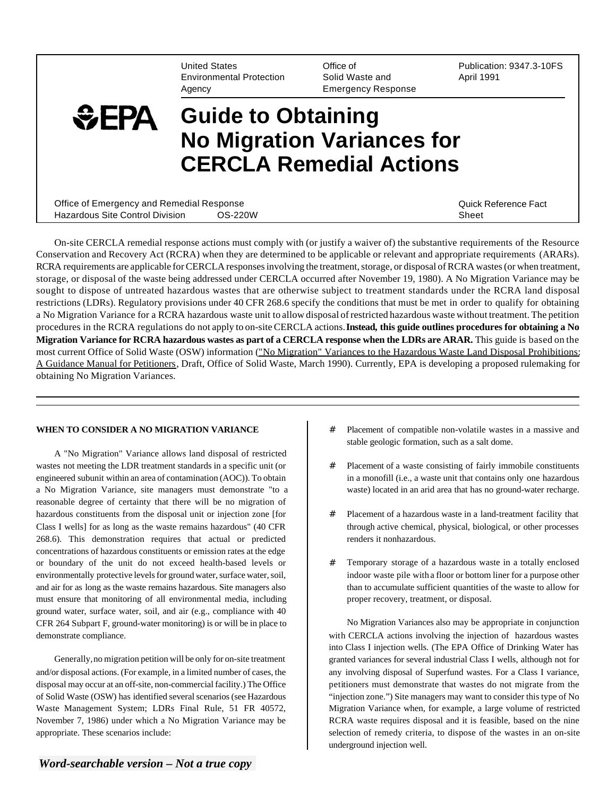United States Environmental Protection Agency

Office of Solid Waste and Emergency Response

Publication: 9347.3-10FS April 1991

# $EPA$ **Guide to Obtaining No Migration Variances for CERCLA Remedial Actions**

| Office of Emergency and Remedial Response |         | Quick Reference Fact |
|-------------------------------------------|---------|----------------------|
| Hazardous Site Control Division           | OS-220W | Sheet                |

On-site CERCLA remedial response actions must comply with (or justify a waiver of) the substantive requirements of the Resource Conservation and Recovery Act (RCRA) when they are determined to be applicable or relevant and appropriate requirements (ARARs). RCRA requirements are applicable for CERCLA responses involving the treatment, storage, or disposal of RCRA wastes (or when treatment, storage, or disposal of the waste being addressed under CERCLA occurred after November 19, 1980). A No Migration Variance may be sought to dispose of untreated hazardous wastes that are otherwise subject to treatment standards under the RCRA land disposal restrictions (LDRs). Regulatory provisions under 40 CFR 268.6 specify the conditions that must be met in order to qualify for obtaining a No Migration Variance for a RCRA hazardous waste unit to allow disposal of restricted hazardous waste without treatment. The petition procedures in the RCRA regulations do not apply to on-site CERCLA actions. **Instead, this guide outlines procedures for obtaining a No Migration Variance for RCRA hazardous wastes as part of a CERCLA response when the LDRs are ARAR.** This guide is based on the most current Office of Solid Waste (OSW) information ("No Migration" Variances to the Hazardous Waste Land Disposal Prohibitions: A Guidance Manual for Petitioners, Draft, Office of Solid Waste, March 1990). Currently, EPA is developing a proposed rulemaking for obtaining No Migration Variances.

#### **WHEN TO CONSIDER A NO MIGRATION VARIANCE**

A "No Migration" Variance allows land disposal of restricted wastes not meeting the LDR treatment standards in a specific unit (or engineered subunit within an area of contamination (AOC)). To obtain a No Migration Variance, site managers must demonstrate "to a reasonable degree of certainty that there will be no migration of hazardous constituents from the disposal unit or injection zone [for Class I wells] for as long as the waste remains hazardous" (40 CFR 268.6). This demonstration requires that actual or predicted concentrations of hazardous constituents or emission rates at the edge or boundary of the unit do not exceed health-based levels or environmentally protective levels for ground water, surface water, soil, and air for as long as the waste remains hazardous. Site managers also must ensure that monitoring of all environmental media, including ground water, surface water, soil, and air (e.g., compliance with 40 CFR 264 Subpart F, ground-water monitoring) is or will be in place to demonstrate compliance.

Generally,no migration petition will be only for on-site treatment and/or disposal actions. (For example, in a limited number of cases, the disposal may occur at an off-site, non-commercial facility.) The Office of Solid Waste (OSW) has identified several scenarios (see Hazardous Waste Management System; LDRs Final Rule, 51 FR 40572, November 7, 1986) under which a No Migration Variance may be appropriate. These scenarios include:

- # Placement of compatible non-volatile wastes in a massive and stable geologic formation, such as a salt dome.
- # Placement of a waste consisting of fairly immobile constituents in a monofill (i.e., a waste unit that contains only one hazardous waste) located in an arid area that has no ground-water recharge.
- # Placement of a hazardous waste in a land-treatment facility that through active chemical, physical, biological, or other processes renders it nonhazardous.
- # Temporary storage of a hazardous waste in a totally enclosed indoor waste pile with a floor or bottom liner for a purpose other than to accumulate sufficient quantities of the waste to allow for proper recovery, treatment, or disposal.

No Migration Variances also may be appropriate in conjunction with CERCLA actions involving the injection of hazardous wastes into Class I injection wells. (The EPA Office of Drinking Water has granted variances for several industrial Class I wells, although not for any involving disposal of Superfund wastes. For a Class I variance, petitioners must demonstrate that wastes do not migrate from the "injection zone.") Site managers may want to consider this type of No Migration Variance when, for example, a large volume of restricted RCRA waste requires disposal and it is feasible, based on the nine selection of remedy criteria, to dispose of the wastes in an on-site underground injection well.

*Word-searchable version – Not a true copy*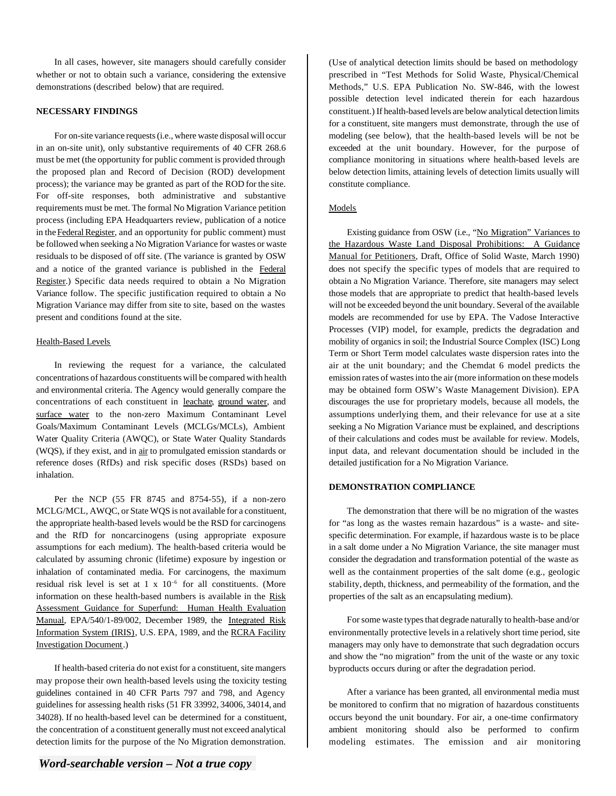In all cases, however, site managers should carefully consider whether or not to obtain such a variance, considering the extensive demonstrations (described below) that are required.

#### **NECESSARY FINDINGS**

For on-site variance requests (i.e., where waste disposal will occur in an on-site unit), only substantive requirements of 40 CFR 268.6 must be met (the opportunity for public comment is provided through the proposed plan and Record of Decision (ROD) development process); the variance may be granted as part of the ROD for the site. For off-site responses, both administrative and substantive requirements must be met. The formal No Migration Variance petition process (including EPA Headquarters review, publication of a notice in the Federal Register, and an opportunity for public comment) must be followed when seeking a No Migration Variance for wastes or waste residuals to be disposed of off site. (The variance is granted by OSW and a notice of the granted variance is published in the Federal Register.) Specific data needs required to obtain a No Migration Variance follow. The specific justification required to obtain a No Migration Variance may differ from site to site, based on the wastes present and conditions found at the site.

#### Health-Based Levels

In reviewing the request for a variance, the calculated concentrations of hazardous constituents will be compared with health and environmental criteria. The Agency would generally compare the concentrations of each constituent in leachate, ground water, and surface water to the non-zero Maximum Contaminant Level Goals/Maximum Contaminant Levels (MCLGs/MCLs), Ambient Water Quality Criteria (AWQC), or State Water Quality Standards (WQS), if they exist, and in air to promulgated emission standards or reference doses (RfDs) and risk specific doses (RSDs) based on inhalation.

Per the NCP (55 FR 8745 and 8754-55), if a non-zero MCLG/MCL, AWQC, or State WQS is not available for a constituent, the appropriate health-based levels would be the RSD for carcinogens and the RfD for noncarcinogens (using appropriate exposure assumptions for each medium). The health-based criteria would be calculated by assuming chronic (lifetime) exposure by ingestion or inhalation of contaminated media. For carcinogens, the maximum residual risk level is set at 1 x 10-6 for all constituents. (More information on these health-based numbers is available in the Risk Assessment Guidance for Superfund: Human Health Evaluation Manual, EPA/540/1-89/002, December 1989, the Integrated Risk Information System (IRIS), U.S. EPA, 1989, and the RCRA Facility Investigation Document.)

If health-based criteria do not exist for a constituent, site mangers may propose their own health-based levels using the toxicity testing guidelines contained in 40 CFR Parts 797 and 798, and Agency guidelines for assessing health risks (51 FR 33992, 34006, 34014, and 34028). If no health-based level can be determined for a constituent, the concentration of a constituent generally must not exceed analytical detection limits for the purpose of the No Migration demonstration.

(Use of analytical detection limits should be based on methodology prescribed in "Test Methods for Solid Waste, Physical/Chemical Methods," U.S. EPA Publication No. SW-846, with the lowest possible detection level indicated therein for each hazardous constituent.) If health-based levels are below analytical detection limits for a constituent, site mangers must demonstrate, through the use of modeling (see below), that the health-based levels will be not be exceeded at the unit boundary. However, for the purpose of compliance monitoring in situations where health-based levels are below detection limits, attaining levels of detection limits usually will constitute compliance.

#### Models

Existing guidance from OSW (i.e., "No Migration" Variances to the Hazardous Waste Land Disposal Prohibitions: A Guidance Manual for Petitioners, Draft, Office of Solid Waste, March 1990) does not specify the specific types of models that are required to obtain a No Migration Variance. Therefore, site managers may select those models that are appropriate to predict that health-based levels will not be exceeded beyond the unit boundary. Several of the available models are recommended for use by EPA. The Vadose Interactive Processes (VIP) model, for example, predicts the degradation and mobility of organics in soil; the Industrial Source Complex (ISC) Long Term or Short Term model calculates waste dispersion rates into the air at the unit boundary; and the Chemdat 6 model predicts the emission rates of wastes into the air (more information on these models may be obtained form OSW's Waste Management Division). EPA discourages the use for proprietary models, because all models, the assumptions underlying them, and their relevance for use at a site seeking a No Migration Variance must be explained, and descriptions of their calculations and codes must be available for review. Models, input data, and relevant documentation should be included in the detailed justification for a No Migration Variance.

## **DEMONSTRATION COMPLIANCE**

The demonstration that there will be no migration of the wastes for "as long as the wastes remain hazardous" is a waste- and sitespecific determination. For example, if hazardous waste is to be place in a salt dome under a No Migration Variance, the site manager must consider the degradation and transformation potential of the waste as well as the containment properties of the salt dome (e.g., geologic stability, depth, thickness, and permeability of the formation, and the properties of the salt as an encapsulating medium).

For some waste types that degrade naturally to health-base and/or environmentally protective levels in a relatively short time period, site managers may only have to demonstrate that such degradation occurs and show the "no migration" from the unit of the waste or any toxic byproducts occurs during or after the degradation period.

After a variance has been granted, all environmental media must be monitored to confirm that no migration of hazardous constituents occurs beyond the unit boundary. For air, a one-time confirmatory ambient monitoring should also be performed to confirm modeling estimates. The emission and air monitoring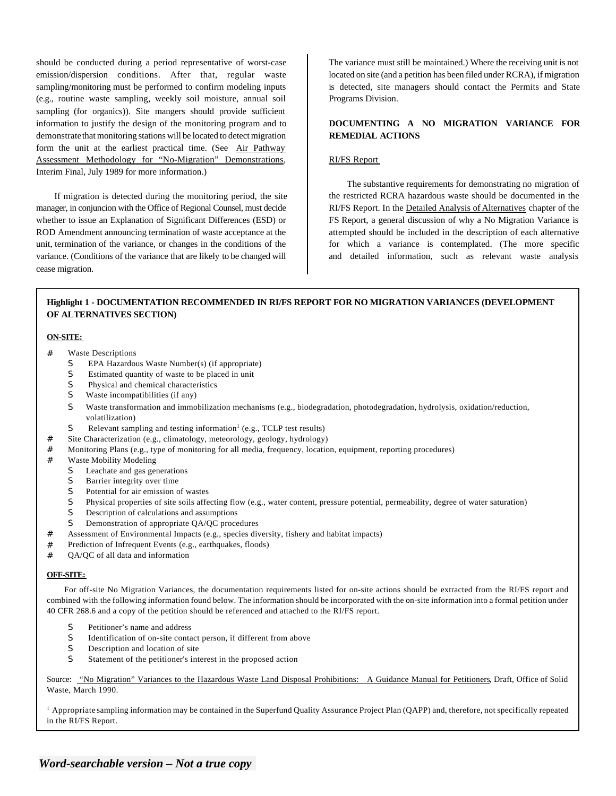should be conducted during a period representative of worst-case emission/dispersion conditions. After that, regular waste sampling/monitoring must be performed to confirm modeling inputs (e.g., routine waste sampling, weekly soil moisture, annual soil sampling (for organics)). Site mangers should provide sufficient information to justify the design of the monitoring program and to demonstrate that monitoring stations will be located to detect migration form the unit at the earliest practical time. (See Air Pathway Assessment Methodology for "No-Migration" Demonstrations, Interim Final, July 1989 for more information.)

If migration is detected during the monitoring period, the site manager, in conjuncion with the Office of Regional Counsel, must decide whether to issue an Explanation of Significant Differences (ESD) or ROD Amendment announcing termination of waste acceptance at the unit, termination of the variance, or changes in the conditions of the variance. (Conditions of the variance that are likely to be changed will cease migration.

The variance must still be maintained.) Where the receiving unit is not located on site (and a petition has been filed under RCRA), if migration is detected, site managers should contact the Permits and State Programs Division.

## **DOCUMENTING A NO MIGRATION VARIANCE FOR REMEDIAL ACTIONS**

#### RI/FS Report

The substantive requirements for demonstrating no migration of the restricted RCRA hazardous waste should be documented in the RI/FS Report. In the Detailed Analysis of Alternatives chapter of the FS Report, a general discussion of why a No Migration Variance is attempted should be included in the description of each alternative for which a variance is contemplated. (The more specific and detailed information, such as relevant waste analysis

## **Highlight 1 - DOCUMENTATION RECOMMENDED IN RI/FS REPORT FOR NO MIGRATION VARIANCES (DEVELOPMENT OF ALTERNATIVES SECTION)**

#### **ON-SITE:**

- **Waste Descriptions** 
	- S EPA Hazardous Waste Number(s) (if appropriate)
	- S Estimated quantity of waste to be placed in unit
	- S Physical and chemical characteristics
	- S Waste incompatibilities (if any)
	- S Waste transformation and immobilization mechanisms (e.g., biodegradation, photodegradation, hydrolysis, oxidation/reduction, volatilization)
	- S Relevant sampling and testing information<sup>1</sup> (e.g., TCLP test results)
- # Site Characterization (e.g., climatology, meteorology, geology, hydrology)
- # Monitoring Plans (e.g., type of monitoring for all media, frequency, location, equipment, reporting procedures)
- # Waste Mobility Modeling
	- S Leachate and gas generations
	- S Barrier integrity over time
	- S Potential for air emission of wastes
	- S Physical properties of site soils affecting flow (e.g., water content, pressure potential, permeability, degree of water saturation)
	- S Description of calculations and assumptions
	- S Demonstration of appropriate QA/QC procedures
- # Assessment of Environmental Impacts (e.g., species diversity, fishery and habitat impacts)
- # Prediction of Infrequent Events (e.g., earthquakes, floods)
- QA/QC of all data and information

#### **OFF-SITE:**

For off-site No Migration Variances, the documentation requirements listed for on-site actions should be extracted from the RI/FS report and combined with the following information found below. The information should be incorporated with the on-site information into a formal petition under 40 CFR 268.6 and a copy of the petition should be referenced and attached to the RI/FS report.

- S Petitioner's name and address
- S Identification of on-site contact person, if different from above
- S Description and location of site
- S Statement of the petitioner's interest in the proposed action

Source: "No Migration" Variances to the Hazardous Waste Land Disposal Prohibitions: A Guidance Manual for Petitioners, Draft, Office of Solid Waste, March 1990.

<sup>1</sup> Appropriate sampling information may be contained in the Superfund Quality Assurance Project Plan (QAPP) and, therefore, not specifically repeated in the RI/FS Report.